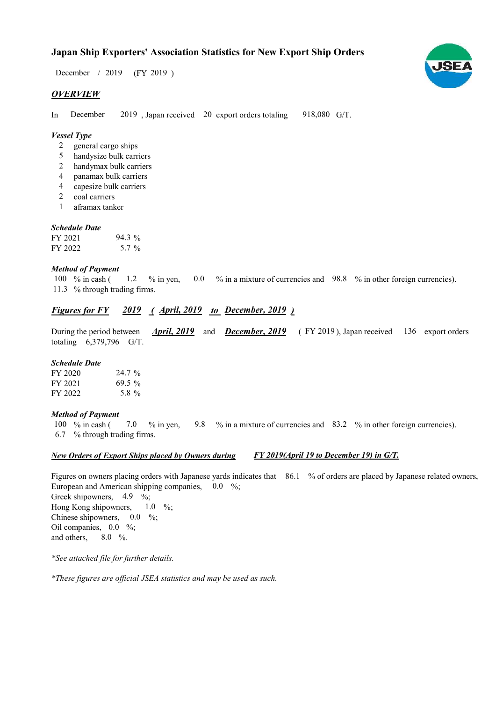# Japan Ship Exporters' Association Statistics for New Export Ship Orders

 $/ 2019$  (FY 2019) December / 2019

# **OVERVIEW**

In December 2019, Japan received 20 export orders totaling 918,080 G/T. December

#### Vessel Type

- general cargo ships 2
- handysize bulk carriers 5
- handymax bulk carriers 2
- panamax bulk carriers 4
- capesize bulk carriers 4
- coal carriers 2
- aframax tanker 1

#### Schedule Date

| FY 2021 | $94.3\%$ |
|---------|----------|
| FY 2022 | 5.7 %    |

#### Method of Payment

% in cash ( $\qquad 1.2 \qquad$ % in yen,  $\qquad 0.0 \qquad$ % in a mixture of currencies and  $\qquad$  98.8 % in other foreign currencies). % through trading firms. 11.3 100  $%$  in cash ( 1.2

## Figures for FY 2019 (April, 2019 to December, 2019)

During the period between *April, 2019* and *December, 2019* (FY 2019), Japan received 136 export orders totaling 6,379,796 G/T. **April, 2019** and **December, 2019** 

#### Schedule Date

| FY 2020 | $24.7\%$ |
|---------|----------|
| FY 2021 | $69.5\%$ |
| FY 2022 | 5.8 %    |

#### Method of Payment

% in cash ( $\frac{7.0}{8}$  % in yen,  $\frac{9.8}{8}$  % in a mixture of currencies and  $\frac{83.2}{8}$  % in other foreign currencies). % through trading firms. 6.7 100  $%$  in cash ( 7.0 % in yen,

#### New Orders of Export Ships placed by Owners during FY 2019(April 19 to December 19) in G/T.

Figures on owners placing orders with Japanese yards indicates that 86.1 % of orders are placed by Japanese related owners, European and American shipping companies, 0.0 %; Greek shipowners,  $4.9 \frac{11}{2}$ Hong Kong shipowners, Chinese shipowners,  $0.0\%$ ; Oil companies,  $0.0\%$ ; and others.  $8.0\%$ .  $1.0\quad\%$ 

\*See attached file for further details.

\*These figures are official JSEA statistics and may be used as such.

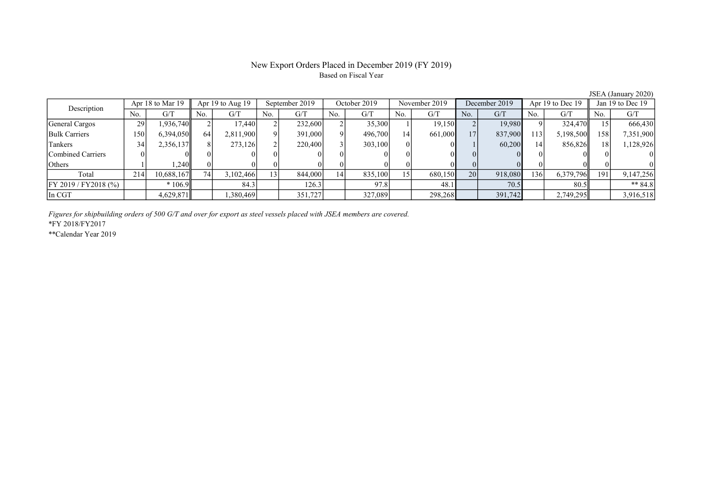### New Export Orders Placed in December 2019 (FY 2019) Based on Fiscal Year

No. | G/T || No. | G/T || No. | G/T || No. | G/T || No. | G/T || No. | G/T || No. | G/T || No. | G/T General Cargos 29 1,936,740 2 17,440 2 232,600 2 35,300 1 19,150 2 19,980 9 324,470 15 666,430 Bulk Carriers 150 6,394,050 64 2,811,900 9 391,000 9 496,700 14 661,000 17 837,900 113 5,198,500 158 7,351,900 Tankers 34 2,356,137 8 273,126 2 220,400 3 303,100 0 0 1 60,200 14 856,826 18 1,128,926 Combined Carriers 0 0 0 0 0 0 0 0 0 0 0 0 0 0 0 0 Others 1 1,240 0 0 0 0 0 0 0 0 0 0 0 0 0 0 Total 214 10,688,167 74 3,102,466 13 844,000 14 835,100 15 680,150 20 918,080 136 6,379,796 191 9,147,256 FY 2019 / FY2018 (%) \* 106.9 84.3 126.3 97.8 48.1 70.5 80.5 \*\* 84.8 In CGT 1,5829,871 | 1,380,469 | 351,727 | 327,089 | 298,268 | 391,742 | 2,749,295 | 3,916,518 Description Apr 18 to Mar 19 Apr 19 to Aug 19 September 2019 October 2019<br>No. 6/T No. 6/T No. 6/T No. 6/T November 2019 December 2019 Apr 19 to Dec 19 Jan 19 to Dec 19

Figures for shipbuilding orders of 500 G/T and over for export as steel vessels placed with JSEA members are covered.

\*FY 2018/FY2017

\*\*Calendar Year 2019

JSEA (January 2020)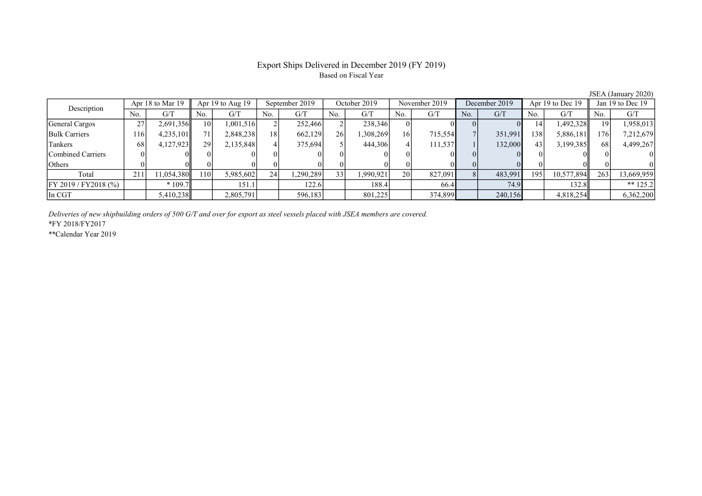# Export Ships Delivered in December 2019 (FY 2019) Based on Fiscal Year

|                     |     |                  |                                                                            |                      |                                     |                |                                                          |              |                    |               |                                                  |               |                                       |                      | Jan 19 to Dec 19                                                          |
|---------------------|-----|------------------|----------------------------------------------------------------------------|----------------------|-------------------------------------|----------------|----------------------------------------------------------|--------------|--------------------|---------------|--------------------------------------------------|---------------|---------------------------------------|----------------------|---------------------------------------------------------------------------|
| No.                 | G/T | No.              | G/T                                                                        | No.                  | G/T                                 | No.            | G/T                                                      | No.          | G/T                | No.           | G/T                                              | No.           | G/T                                   | No.                  | G/T                                                                       |
| 27                  |     | 10 <sup>1</sup>  |                                                                            |                      |                                     |                |                                                          |              |                    |               |                                                  | 14            |                                       | 19                   | 1,958,013                                                                 |
| 116                 |     | 71               |                                                                            | 18 <sub>1</sub>      |                                     |                |                                                          | 16           |                    |               | 351,991                                          | '38           |                                       | 1761                 | 7,212,679                                                                 |
| 68                  |     | 29 <sup>1</sup>  | 2,135,848                                                                  |                      | 375,694                             |                | 444,306                                                  |              |                    |               |                                                  | 43            |                                       | 68                   | 4,499,267                                                                 |
|                     |     |                  |                                                                            |                      |                                     |                |                                                          |              |                    |               |                                                  |               |                                       |                      |                                                                           |
|                     |     |                  |                                                                            |                      |                                     |                |                                                          |              |                    |               |                                                  |               |                                       |                      |                                                                           |
| 211<br>$\angle 1$ . |     | 110I             |                                                                            | 24                   |                                     |                | 1,990,921                                                | 20           |                    |               | 483,991                                          | 195           |                                       | 263                  | 13,669,959                                                                |
|                     |     |                  | 151.1                                                                      |                      | 122.6                               |                | 188.4                                                    |              |                    |               |                                                  |               |                                       |                      | ** $125.2$                                                                |
|                     |     |                  | 2,805,791                                                                  |                      | 596,183                             |                | 801,225                                                  |              |                    |               |                                                  |               |                                       |                      | 6,362,200                                                                 |
|                     |     | Apr 18 to Mar 19 | 2,691,356<br>4,235,101<br>4,127,923<br>11,054,380<br>$*109.7$<br>5,410,238 | Apr $19$ to Aug $19$ | 1,001,516<br>2,848,238<br>5,985,602 | September 2019 | 252,466<br>662,129<br>26 <sup>1</sup><br>33<br>1,290,289 | October 2019 | 238,346<br>308,269 | November 2019 | 715,554<br>111,537<br>827,091<br>66.4<br>374,899 | December 2019 | $_{01}$<br>132,000<br>74.9<br>240,156 | Apr $19$ to Dec $19$ | 1,492,328  <br>5,886,181<br>3,199,385<br>10,577,894<br>132.8<br>4,818,254 |

Deliveries of new shipbuilding orders of 500 G/T and over for export as steel vessels placed with JSEA members are covered.

\*FY 2018/FY2017

\*\*Calendar Year 2019

JSEA (January 2020)